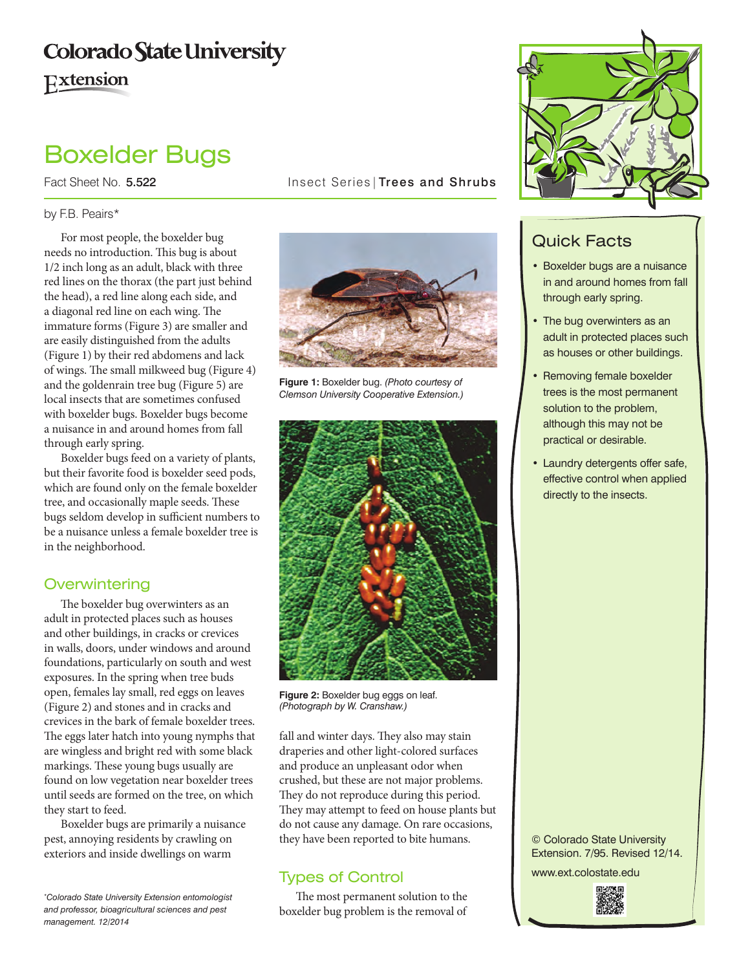## **Colorado State University** Extension

# Boxelder Bugs

Fact Sheet No. 5.522 **Insect Series** Trees and Shrubs

#### by F.B. Peairs\*

For most people, the boxelder bug needs no introduction. This bug is about 1/2 inch long as an adult, black with three red lines on the thorax (the part just behind the head), a red line along each side, and a diagonal red line on each wing. The immature forms (Figure 3) are smaller and are easily distinguished from the adults (Figure 1) by their red abdomens and lack of wings. The small milkweed bug (Figure 4) and the goldenrain tree bug (Figure 5) are local insects that are sometimes confused with boxelder bugs. Boxelder bugs become a nuisance in and around homes from fall through early spring.

Boxelder bugs feed on a variety of plants, but their favorite food is boxelder seed pods, which are found only on the female boxelder tree, and occasionally maple seeds. These bugs seldom develop in sufficient numbers to be a nuisance unless a female boxelder tree is in the neighborhood.

#### **Overwintering**

The boxelder bug overwinters as an adult in protected places such as houses and other buildings, in cracks or crevices in walls, doors, under windows and around foundations, particularly on south and west exposures. In the spring when tree buds open, females lay small, red eggs on leaves (Figure 2) and stones and in cracks and crevices in the bark of female boxelder trees. The eggs later hatch into young nymphs that are wingless and bright red with some black markings. These young bugs usually are found on low vegetation near boxelder trees until seeds are formed on the tree, on which they start to feed.

Boxelder bugs are primarily a nuisance pest, annoying residents by crawling on exteriors and inside dwellings on warm

*\* Colorado State University Extension entomologist and professor, bioagricultural sciences and pest management. 12/2014*



**Figure 1:** Boxelder bug. *(Photo courtesy of Clemson University Cooperative Extension.)*



**Figure 2:** Boxelder bug eggs on leaf. *(Photograph by W. Cranshaw.)*

fall and winter days. They also may stain draperies and other light-colored surfaces and produce an unpleasant odor when crushed, but these are not major problems. They do not reproduce during this period. They may attempt to feed on house plants but do not cause any damage. On rare occasions, they have been reported to bite humans.

### Types of Control

The most permanent solution to the boxelder bug problem is the removal of



## Quick Facts

- • Boxelder bugs are a nuisance in and around homes from fall through early spring.
- The bug overwinters as an adult in protected places such as houses or other buildings.
- Removing female boxelder trees is the most permanent solution to the problem, although this may not be practical or desirable.
- Laundry detergents offer safe, effective control when applied directly to the insects.

© Colorado State University Extension. 7/95. Revised 12/14.

www.ext.colostate.edu